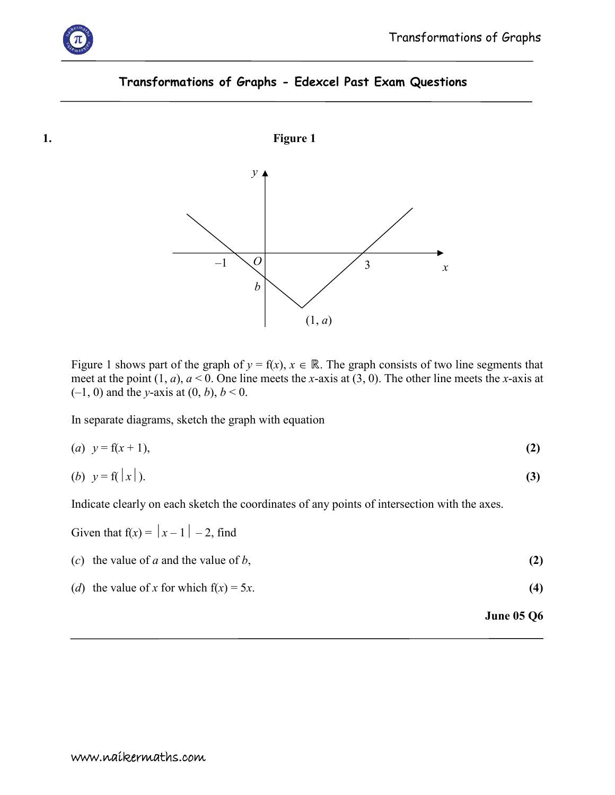

# **Transformations of Graphs - Edexcel Past Exam Questions**



Figure 1 shows part of the graph of  $y = f(x)$ ,  $x \in \mathbb{R}$ . The graph consists of two line segments that meet at the point  $(1, a)$ ,  $a < 0$ . One line meets the *x*-axis at  $(3, 0)$ . The other line meets the *x*-axis at  $(-1, 0)$  and the *y*-axis at  $(0, b)$ ,  $b < 0$ .

In separate diagrams, sketch the graph with equation

(a) 
$$
y = f(x+1)
$$
, (2)

$$
(b) \quad y = f(|x|). \tag{3}
$$

Indicate clearly on each sketch the coordinates of any points of intersection with the axes.

Given that  $f(x) = |x-1| - 2$ , find

|                                                     | <b>June 05 Q6</b> |
|-----------------------------------------------------|-------------------|
| ( <i>d</i> ) the value of x for which $f(x) = 5x$ . | (4)               |
| (c) the value of a and the value of b,              | (2)               |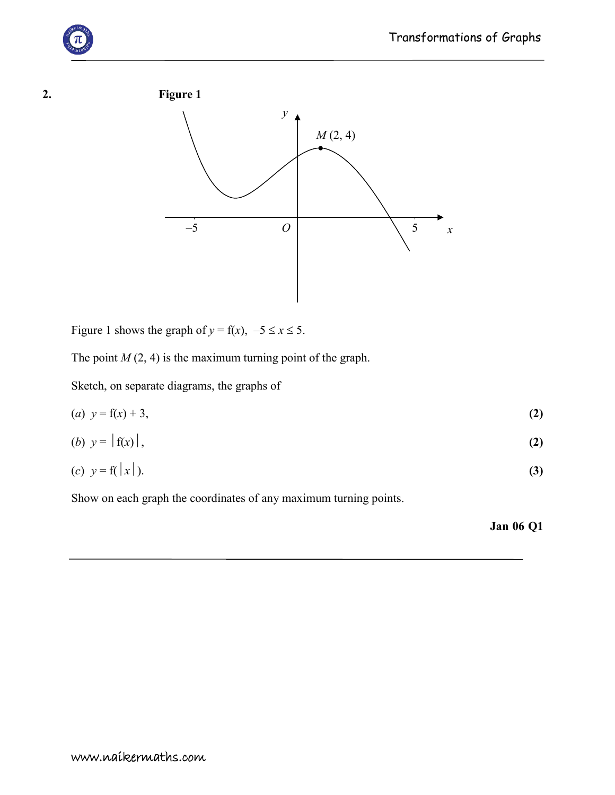

# **2. Figure 1**  $\bullet$  *y*   $O \mid$  5  $x$ *M* (2, 4) –5

Figure 1 shows the graph of  $y = f(x)$ ,  $-5 \le x \le 5$ .

The point  $M(2, 4)$  is the maximum turning point of the graph.

Sketch, on separate diagrams, the graphs of

(a) 
$$
y = f(x) + 3
$$
, (2)

$$
(b) \quad y = |f(x)| \tag{2}
$$

$$
(c) \ \ y = f(\left| x \right|). \tag{3}
$$

Show on each graph the coordinates of any maximum turning points.

### **Jan 06 Q1**

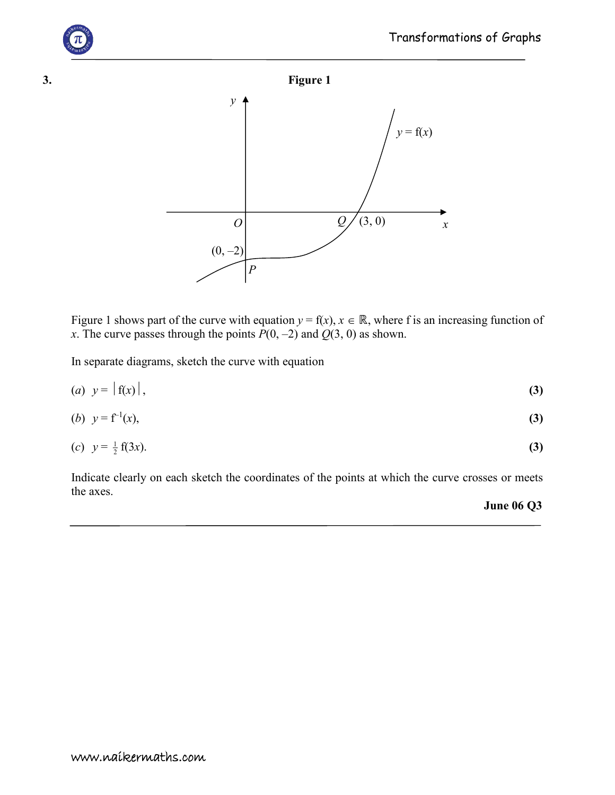



Figure 1 shows part of the curve with equation  $y = f(x)$ ,  $x \in \mathbb{R}$ , where f is an increasing function of *x*. The curve passes through the points  $P(0, -2)$  and  $Q(3, 0)$  as shown.

In separate diagrams, sketch the curve with equation

$$
(a) \quad y = |f(x)|, \tag{3}
$$

(b) 
$$
y = f^{-1}(x)
$$
, (3)

(c) 
$$
y = \frac{1}{2}f(3x)
$$
. (3)

 Indicate clearly on each sketch the coordinates of the points at which the curve crosses or meets the axes.

#### **June 06 Q3**

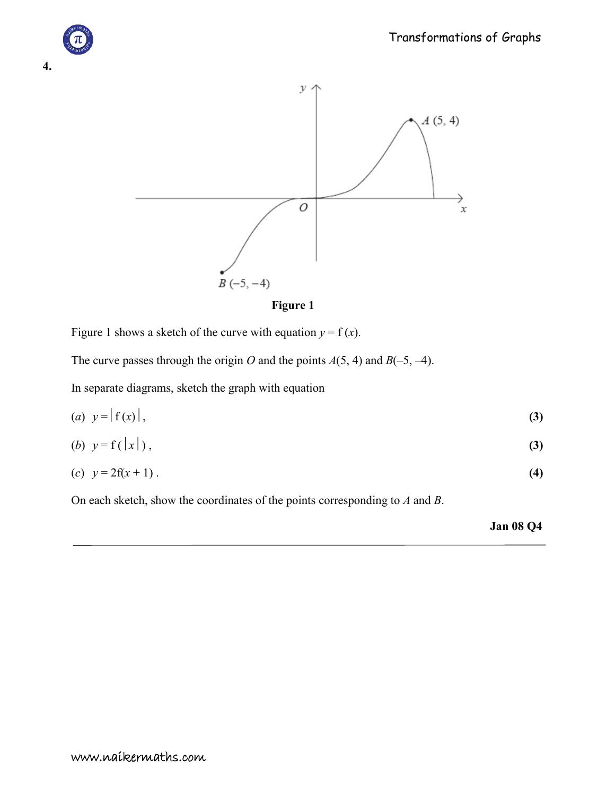



**Figure 1** 

Figure 1 shows a sketch of the curve with equation  $y = f(x)$ .

The curve passes through the origin *O* and the points  $A(5, 4)$  and  $B(-5, -4)$ .

In separate diagrams, sketch the graph with equation

(a) 
$$
y = |f(x)|
$$
, (3)

$$
(b) \ \ y = f\left(\left|x\right|\right),\tag{3}
$$

(c) 
$$
y = 2f(x+1)
$$
. (4)

On each sketch, show the coordinates of the points corresponding to *A* and *B*.

 **Jan 08 Q4**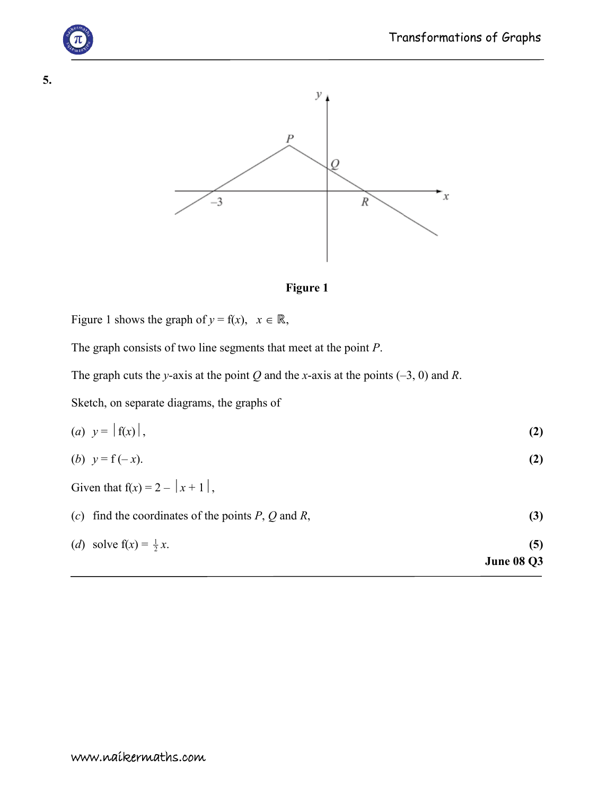





Figure 1 shows the graph of  $y = f(x)$ ,  $x \in \mathbb{R}$ ,

The graph consists of two line segments that meet at the point *P*.

The graph cuts the *y*-axis at the point *Q* and the *x*-axis at the points  $(-3, 0)$  and *R*.

Sketch, on separate diagrams, the graphs of

$$
(a) \quad y = |f(x)| \tag{2}
$$

$$
(b) \quad y = f(-x). \tag{2}
$$

Given that  $f(x) = 2 - |x + 1|$ ,

(*c*) find the coordinates of the points  $P$ ,  $Q$  and  $R$ , **(3)** 

(d) solve 
$$
f(x) = \frac{1}{2}x
$$
. (5)  
June 08 Q3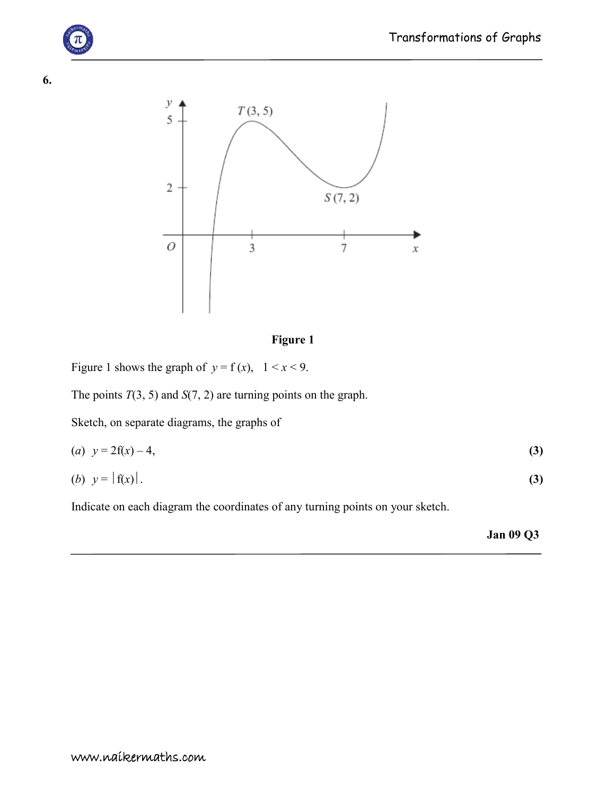



## **Figure 1**

Figure 1 shows the graph of  $y = f(x)$ ,  $1 < x < 9$ .

The points *T*(3, 5) and *S*(7, 2) are turning points on the graph.

Sketch, on separate diagrams, the graphs of

| (a) $y = 2f(x) - 4$ , |  |
|-----------------------|--|
|                       |  |

(b) 
$$
y = |f(x)|
$$
. (3)

Indicate on each diagram the coordinates of any turning points on your sketch.

#### **Jan 09 Q3**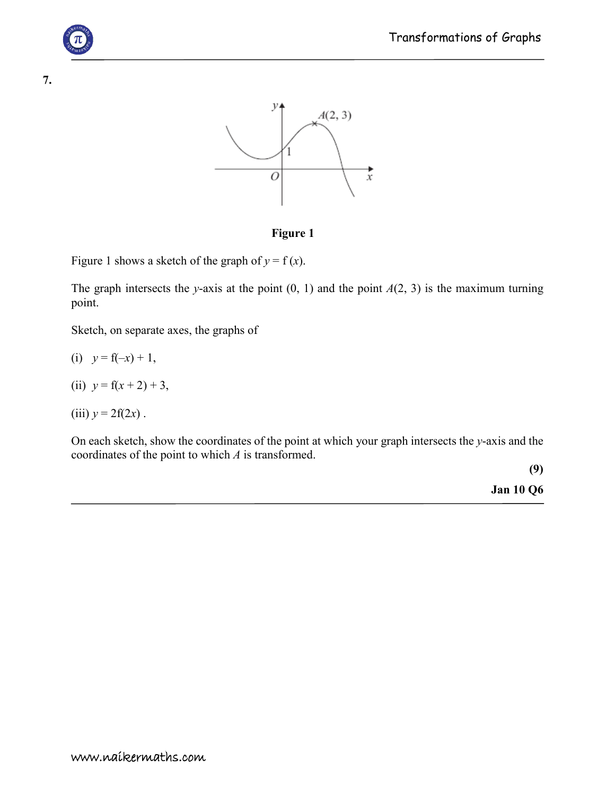





Figure 1 shows a sketch of the graph of  $y = f(x)$ .

The graph intersects the *y*-axis at the point  $(0, 1)$  and the point  $A(2, 3)$  is the maximum turning point.

Sketch, on separate axes, the graphs of

- (i)  $y = f(-x) + 1$ ,
- (ii)  $y = f(x + 2) + 3$ ,
- (iii)  $y = 2f(2x)$ .

On each sketch, show the coordinates of the point at which your graph intersects the *y*-axis and the coordinates of the point to which *A* is transformed.

**(9)** 

**Jan 10 Q6** 

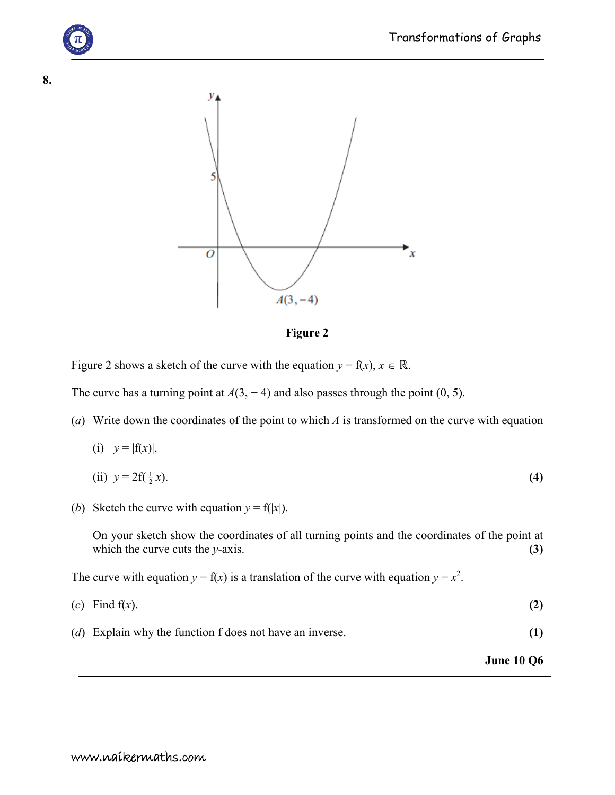



**Figure 2** 

Figure 2 shows a sketch of the curve with the equation  $y = f(x)$ ,  $x \in \mathbb{R}$ .

The curve has a turning point at  $A(3, -4)$  and also passes through the point (0, 5).

(*a*) Write down the coordinates of the point to which *A* is transformed on the curve with equation

$$
(i) \quad y = |f(x)|,
$$

(ii) 
$$
y = 2f(\frac{1}{2}x)
$$
. (4)

(*b*) Sketch the curve with equation  $y = f(x)$ .

 On your sketch show the coordinates of all turning points and the coordinates of the point at which the curve cuts the  $y$ -axis.  $(3)$ 

The curve with equation  $y = f(x)$  is a translation of the curve with equation  $y = x^2$ .

| $(c)$ Find $f(x)$ . | (2) |
|---------------------|-----|
|                     |     |

(*d*) Explain why the function f does not have an inverse. **(1)** 

**June 10 Q6** 

**8.**